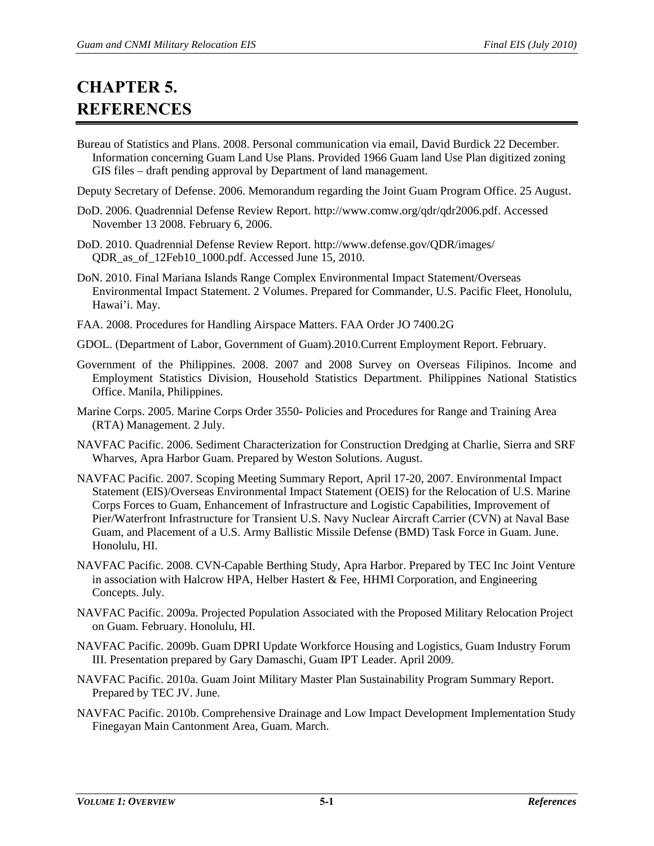## **CHAPTER 5. REFERENCES**

- Bureau of Statistics and Plans. 2008. Personal communication via email, David Burdick 22 December. Information concerning Guam Land Use Plans. Provided 1966 Guam land Use Plan digitized zoning GIS files – draft pending approval by Department of land management.
- Deputy Secretary of Defense. 2006. Memorandum regarding the Joint Guam Program Office. 25 August.
- DoD. 2006. Quadrennial Defense Review Report. http://www.comw.org/qdr/qdr2006.pdf. Accessed November 13 2008. February 6, 2006.
- DoD. 2010. Quadrennial Defense Review Report. http://www.defense.gov/QDR/images/ QDR\_as\_of\_12Feb10\_1000.pdf. Accessed June 15, 2010.
- DoN. 2010. Final Mariana Islands Range Complex Environmental Impact Statement/Overseas Environmental Impact Statement. 2 Volumes. Prepared for Commander, U.S. Pacific Fleet, Honolulu, Hawai'i. May.
- FAA. 2008. Procedures for Handling Airspace Matters. FAA Order JO 7400.2G
- GDOL. (Department of Labor, Government of Guam).2010.Current Employment Report. February.
- Government of the Philippines. 2008. 2007 and 2008 Survey on Overseas Filipinos. Income and Employment Statistics Division, Household Statistics Department. Philippines National Statistics Office. Manila, Philippines.
- Marine Corps. 2005. Marine Corps Order 3550- Policies and Procedures for Range and Training Area (RTA) Management. 2 July.
- NAVFAC Pacific. 2006. Sediment Characterization for Construction Dredging at Charlie, Sierra and SRF Wharves, Apra Harbor Guam. Prepared by Weston Solutions. August.
- NAVFAC Pacific. 2007. Scoping Meeting Summary Report, April 17-20, 2007. Environmental Impact Statement (EIS)/Overseas Environmental Impact Statement (OEIS) for the Relocation of U.S. Marine Corps Forces to Guam, Enhancement of Infrastructure and Logistic Capabilities, Improvement of Pier/Waterfront Infrastructure for Transient U.S. Navy Nuclear Aircraft Carrier (CVN) at Naval Base Guam, and Placement of a U.S. Army Ballistic Missile Defense (BMD) Task Force in Guam. June. Honolulu, HI.
- NAVFAC Pacific. 2008. CVN-Capable Berthing Study, Apra Harbor. Prepared by TEC Inc Joint Venture in association with Halcrow HPA, Helber Hastert & Fee, HHMI Corporation, and Engineering Concepts. July.
- NAVFAC Pacific. 2009a. Projected Population Associated with the Proposed Military Relocation Project on Guam. February. Honolulu, HI.
- NAVFAC Pacific. 2009b. Guam DPRI Update Workforce Housing and Logistics, Guam Industry Forum III. Presentation prepared by Gary Damaschi, Guam IPT Leader. April 2009.
- NAVFAC Pacific. 2010a. Guam Joint Military Master Plan Sustainability Program Summary Report. Prepared by TEC JV. June.
- NAVFAC Pacific. 2010b. Comprehensive Drainage and Low Impact Development Implementation Study Finegayan Main Cantonment Area, Guam. March.